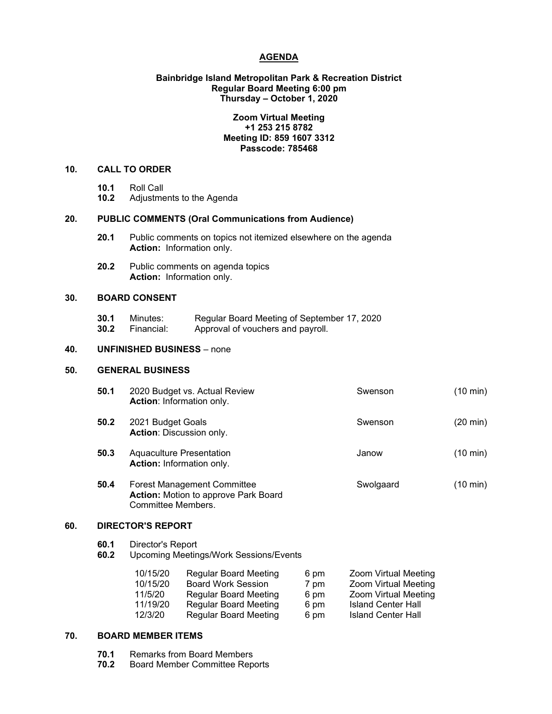## **AGENDA**

# **Bainbridge Island Metropolitan Park & Recreation District Regular Board Meeting 6:00 pm Thursday – October 1, 2020**

## **Zoom Virtual Meeting +1 253 215 8782 Meeting ID: 859 1607 3312 Passcode: 785468**

## **10. CALL TO ORDER**

- 
- **10.1** Roll Call **10.2** Adjustments to the Agenda

# **20. PUBLIC COMMENTS (Oral Communications from Audience)**

- **20.1** Public comments on topics not itemized elsewhere on the agenda **Action:** Information only.
- **20.2** Public comments on agenda topics **Action:** Information only.

## **30. BOARD CONSENT**

**30.1** Minutes: Regular Board Meeting of September 17, 2020<br>**30.2** Financial: Approval of vouchers and payroll. Approval of vouchers and payroll.

#### **40. UNFINISHED BUSINESS** – none

#### **50. GENERAL BUSINESS**

| 50.1 | 2020 Budget vs. Actual Review<br><b>Action: Information only.</b>                                       | Swenson   | $(10 \text{ min})$ |
|------|---------------------------------------------------------------------------------------------------------|-----------|--------------------|
| 50.2 | 2021 Budget Goals<br>Action: Discussion only.                                                           | Swenson   | $(20 \text{ min})$ |
| 50.3 | Aquaculture Presentation<br><b>Action:</b> Information only.                                            | Janow     | $(10 \text{ min})$ |
| 50.4 | <b>Forest Management Committee</b><br><b>Action:</b> Motion to approve Park Board<br>Committee Members. | Swolgaard | $(10 \text{ min})$ |

# **60. DIRECTOR'S REPORT**

**60.1** Director's Report

**60.2** Upcoming Meetings/Work Sessions/Events

| 10/15/20 | <b>Regular Board Meeting</b> | 6 pm | <b>Zoom Virtual Meeting</b> |
|----------|------------------------------|------|-----------------------------|
| 10/15/20 | <b>Board Work Session</b>    | 7 pm | <b>Zoom Virtual Meeting</b> |
| 11/5/20  | <b>Regular Board Meeting</b> | 6 pm | <b>Zoom Virtual Meeting</b> |
| 11/19/20 | <b>Regular Board Meeting</b> | 6 pm | <b>Island Center Hall</b>   |
| 12/3/20  | <b>Regular Board Meeting</b> | 6 pm | <b>Island Center Hall</b>   |

#### **70. BOARD MEMBER ITEMS**

- **70.1** Remarks from Board Members
- **70.2** Board Member Committee Reports